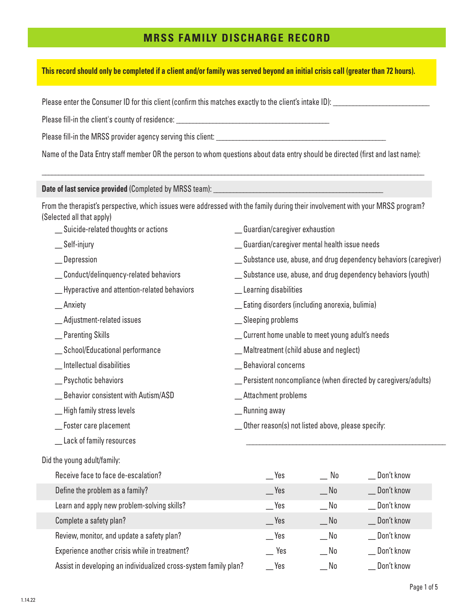# **MRSS FAMILY DISCHARGE RECORD**

#### **This record should only be completed if a client and/or family was served beyond an initial crisis call (greater than 72 hours).**

Please enter the Consumer ID for this client (confirm this matches exactly to the client's intake ID):

Please fill-in the client's county of residence:

Please fill-in the MRSS provider agency serving this client:

Name of the Data Entry staff member OR the person to whom questions about data entry should be directed (first and last name):

\_\_\_\_\_\_\_\_\_\_\_\_\_\_\_\_\_\_\_\_\_\_\_\_\_\_\_\_\_\_\_\_\_\_\_\_\_\_\_\_\_\_\_\_\_\_\_\_\_\_\_\_\_\_\_\_\_\_\_\_\_\_\_\_\_\_\_\_\_\_\_\_\_\_\_\_\_\_\_\_\_\_\_\_\_\_\_\_\_\_\_\_\_\_\_\_\_\_\_\_\_\_\_\_\_\_\_\_\_\_\_\_\_\_\_

**Date of last service provided** (Completed by MRSS team):

From the therapist's perspective, which issues were addressed with the family during their involvement with your MRSS program? (Selected all that apply)

\_ Guardian/caregiver exhaustion

\_ Learning disabilities

\_ Sleeping problems

\_ Behavioral concerns

\_ Attachment problems

\_ Running away

\_ Guardian/caregiver mental health issue needs

\_ Eating disorders (including anorexia, bulimia)

\_ Maltreatment (child abuse and neglect)

\_ Current home unable to meet young adult's needs

Other reason(s) not listed above, please specify:

Substance use, abuse, and drug dependency behaviors (caregiver)

Substance use, abuse, and drug dependency behaviors (youth)

\_ Persistent noncompliance (when directed by caregivers/adults)

 $\overline{\phantom{a}}$  ,  $\overline{\phantom{a}}$  ,  $\overline{\phantom{a}}$  ,  $\overline{\phantom{a}}$  ,  $\overline{\phantom{a}}$  ,  $\overline{\phantom{a}}$  ,  $\overline{\phantom{a}}$  ,  $\overline{\phantom{a}}$  ,  $\overline{\phantom{a}}$  ,  $\overline{\phantom{a}}$  ,  $\overline{\phantom{a}}$  ,  $\overline{\phantom{a}}$  ,  $\overline{\phantom{a}}$  ,  $\overline{\phantom{a}}$  ,  $\overline{\phantom{a}}$  ,  $\overline{\phantom{a}}$ 

- \_ Suicide-related thoughts or actions
- Self-injury
- **Depression**
- \_ Conduct/delinquency-related behaviors
- \_ Hyperactive and attention-related behaviors
- \_ Anxiety
- \_ Adjustment-related issues
- \_ Parenting Skills
- \_ School/Educational performance
- \_ Intellectual disabilities
- \_ Psychotic behaviors
- Behavior consistent with Autism/ASD
- \_ High family stress levels
- Foster care placement
- \_ Lack of family resources

Did the young adult/family:

| Receive face to face de-escalation?                              | Yes               | No.        | Don't know |
|------------------------------------------------------------------|-------------------|------------|------------|
| Define the problem as a family?                                  | Yes               | $\sqrt{N}$ | Don't know |
| Learn and apply new problem-solving skills?                      | Yes               | No         | Don't know |
| Complete a safety plan?                                          | Yes               | No         | Don't know |
| Review, monitor, and update a safety plan?                       | Yes               | $\sqrt{N}$ | Don't know |
| Experience another crisis while in treatment?                    | Yes               | No         | Don't know |
| Assist in developing an individualized cross-system family plan? | $\mathsf{\_}$ Yes | _No        | Don't know |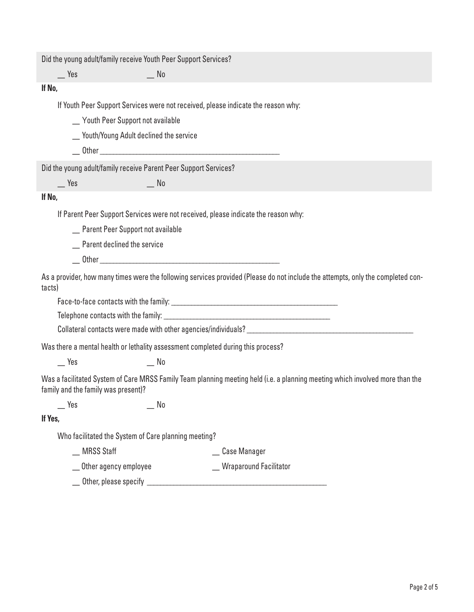Did the young adult/family receive Youth Peer Support Services?

\_ Yes \_ No

#### **If No,**

If Youth Peer Support Services were not received, please indicate the reason why:

\_ Youth Peer Support not available

\_ Youth/Young Adult declined the service

 $\rule{1em}{0.05em} \begin{picture}(18,6) \put(0,0){\vector(15,0){15}} \put(15,0){\vector(15,0){15}} \put(15,0){\vector(15,0){15}} \put(15,0){\vector(15,0){15}} \put(15,0){\vector(15,0){15}} \put(15,0){\vector(15,0){15}} \put(15,0){\vector(15,0){15}} \put(15,0){\vector(15,0){15}} \put(15,0){\vector(15,0){15}} \put(15,0){\vector(15,0){15}} \put(15,0){\$ 

Did the young adult/family receive Parent Peer Support Services?

\_ Yes \_ No

## **If No,**

If Parent Peer Support Services were not received, please indicate the reason why:

\_ Parent Peer Support not available

\_ Parent declined the service

 $\rule{1em}{0}$  Other  $\rule{1em}{0}$ 

As a provider, how many times were the following services provided (Please do not include the attempts, only the completed contacts)

Face-to-face contacts with the family: \_\_\_\_\_\_\_\_\_\_\_\_\_\_\_\_\_\_\_\_\_\_\_\_\_\_\_\_\_\_\_\_\_\_\_\_\_\_\_\_\_\_\_\_\_\_\_\_\_\_

Telephone contacts with the family:

Collateral contacts were made with other agencies/individuals? \_\_\_\_\_\_\_\_\_\_\_\_\_\_\_\_\_\_\_\_\_\_\_\_

Was there a mental health or lethality assessment completed during this process?

\_ Yes \_ No

Was a facilitated System of Care MRSS Family Team planning meeting held (i.e. a planning meeting which involved more than the family and the family was present)?

\_ Yes \_ No

### **If Yes,**

Who facilitated the System of Care planning meeting?

\_ MRSS Staff \_ Case Manager

\_ Other agency employee \_ Wraparound Facilitator

Other, please specify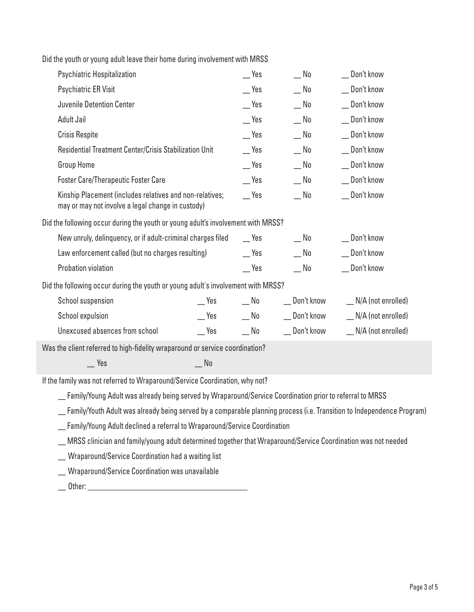|  |  |  | Did the youth or young adult leave their home during involvement with MRSS |  |
|--|--|--|----------------------------------------------------------------------------|--|
|  |  |  |                                                                            |  |

| Psychiatric Hospitalization                                                                                   |                   | Yes                       | No                          | _ Don't know                |
|---------------------------------------------------------------------------------------------------------------|-------------------|---------------------------|-----------------------------|-----------------------------|
| Psychiatric ER Visit                                                                                          |                   | Yes                       | $\sqrt{N}$                  | _ Don't know                |
| Juvenile Detention Center                                                                                     |                   | $\mathsf{I}$ Yes          | $\mathbb{N}^{\mathsf{o}}$   | _ Don't know                |
| Adult Jail                                                                                                    |                   | $\mathsf{\_}$ Yes         | $\mathbb{R}^N$              | _ Don't know                |
| <b>Crisis Respite</b>                                                                                         |                   | $e^{\gamma}$              | $\overline{\phantom{0}}$ No | _ Don't know                |
| Residential Treatment Center/Crisis Stabilization Unit                                                        |                   | $e^{\gamma}$              | $\mathsf{M}^{\mathsf{O}}$   | _ Don't know                |
| <b>Group Home</b>                                                                                             |                   | $e^{\gamma}$              | $\mathsf{M}^0$              | _ Don't know                |
| <b>Foster Care/Therapeutic Foster Care</b>                                                                    |                   | $\mathsf{I}$ Yes          | $\overline{\phantom{0}}$ No | _ Don't know                |
| Kinship Placement (includes relatives and non-relatives;<br>may or may not involve a legal change in custody) |                   | $\mathsf{I}$ Yes          | $\mathbb{N}^{\mathsf{o}}$   | _ Don't know                |
| Did the following occur during the youth or young adult's involvement with MRSS?                              |                   |                           |                             |                             |
| New unruly, delinquency, or if adult-criminal charges filed                                                   |                   | Yes                       | $\mathsf{M}^{\mathsf{N}}$   | _ Don't know                |
| Law enforcement called (but no charges resulting)                                                             |                   | $e^{\gamma}$              | $\mathsf{M}^{\mathsf{N}}$   | _ Don't know                |
| Probation violation                                                                                           |                   | $\mathsf{I}$ Yes          | $\mathsf{M}$                | _ Don't know                |
| Did the following occur during the youth or young adult's involvement with MRSS?                              |                   |                           |                             |                             |
| School suspension                                                                                             | $\equiv$ Yes      | $\mathsf{M}^{\mathsf{N}}$ | __ Don't know               | $\angle$ N/A (not enrolled) |
| School expulsion                                                                                              | $\mathsf{\_}$ Yes | $\mathsf{M}^{\mathsf{O}}$ | __ Don't know               | $\Box$ N/A (not enrolled)   |
| Unexcused absences from school                                                                                | $\mathcal{L}$ Yes | $\mathsf{M}^\mathsf{D}$   | __ Don't know               | $\angle$ N/A (not enrolled) |
| Was the client referred to high-fidelity wraparound or service coordination?                                  |                   |                           |                             |                             |
| $\mathsf{\_}$ Yes                                                                                             | No                |                           |                             |                             |
|                                                                                                               |                   |                           |                             |                             |

If the family was not referred to Wraparound/Service Coordination, why not?

\_ Family/Young Adult was already being served by Wraparound/Service Coordination prior to referral to MRSS

\_ Family/Youth Adult was already being served by a comparable planning process (i.e. Transition to Independence Program)

\_ Family/Young Adult declined a referral to Wraparound/Service Coordination

\_ MRSS clinician and family/young adult determined together that Wraparound/Service Coordination was not needed

\_ Wraparound/Service Coordination had a waiting list

\_ Wraparound/Service Coordination was unavailable

 $\Box$  Other:  $\Box$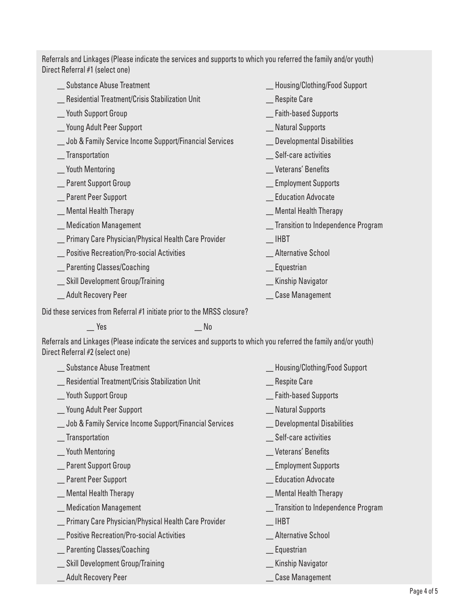Referrals and Linkages (Please indicate the services and supports to which you referred the family and/or youth) Direct Referral #1 (select one)

| <b>Substance Abuse Treatment</b>                                                                                                                    |    | Housing/Clothing/Food Support        |
|-----------------------------------------------------------------------------------------------------------------------------------------------------|----|--------------------------------------|
| Residential Treatment/Crisis Stabilization Unit                                                                                                     |    | _ Respite Care                       |
| <b>Youth Support Group</b>                                                                                                                          |    | _ Faith-based Supports               |
| _ Young Adult Peer Support                                                                                                                          |    | _ Natural Supports                   |
| _ Job & Family Service Income Support/Financial Services                                                                                            |    | _ Developmental Disabilities         |
| Transportation                                                                                                                                      |    | Self-care activities                 |
| _ Youth Mentoring                                                                                                                                   |    | _Veterans' Benefits                  |
| Parent Support Group                                                                                                                                |    | _Employment Supports                 |
| _ Parent Peer Support                                                                                                                               |    | <b>Education Advocate</b>            |
| _ Mental Health Therapy                                                                                                                             |    | _Mental Health Therapy               |
| _ Medication Management                                                                                                                             |    | _ Transition to Independence Program |
| _ Primary Care Physician/Physical Health Care Provider                                                                                              |    | <b>IHBT</b>                          |
| _ Positive Recreation/Pro-social Activities                                                                                                         |    | <b>Alternative School</b>            |
| _ Parenting Classes/Coaching                                                                                                                        |    | _ Equestrian                         |
| _ Skill Development Group/Training                                                                                                                  |    | Kinship Navigator                    |
| _ Adult Recovery Peer                                                                                                                               |    | _ Case Management                    |
| Did these services from Referral #1 initiate prior to the MRSS closure?                                                                             |    |                                      |
| <b>Press</b>                                                                                                                                        | No |                                      |
| Referrals and Linkages (Please indicate the services and supports to which you referred the family and/or youth)<br>Direct Referral #2 (select one) |    |                                      |
| _ Substance Abuse Treatment                                                                                                                         |    | Housing/Clothing/Food Support        |
| Residential Treatment/Crisis Stabilization Unit                                                                                                     |    | Respite Care                         |
|                                                                                                                                                     |    |                                      |

- \_ Youth Support Group
- \_ Young Adult Peer Support
- \_ Job & Family Service Income Support/Financial Services
- \_ Transportation
- \_ Youth Mentoring
- \_ Parent Support Group
- \_ Parent Peer Support
- \_ Mental Health Therapy
- \_ Medication Management
- \_ Primary Care Physician/Physical Health Care Provider
- Positive Recreation/Pro-social Activities
- \_ Parenting Classes/Coaching
- \_ Skill Development Group/Training
- \_ Adult Recovery Peer
- \_ Faith-based Supports
- \_ Natural Supports
- \_ Developmental Disabilities
- \_ Self-care activities
- \_ Veterans' Benefits
- \_ Employment Supports
- \_ Education Advocate
- \_ Mental Health Therapy
- \_ Transition to Independence Program
- \_ IHBT
- Alternative School
- \_ Equestrian
- \_ Kinship Navigator
- \_ Case Management